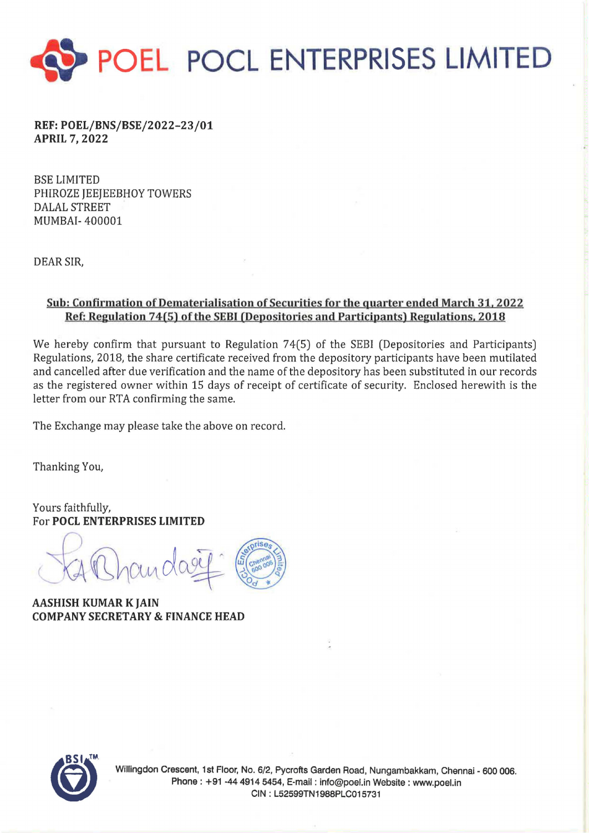

REF:POEL/BNS/BSE/2022-23/01 APRIL 7, 2022

BSE LIMITED PHIROZE JEEJEEBHOY TOWERS DALAL STREET MUMBAI- 400001

DEAR SIR,

## Sob: Confirmation of Dematerialisation of Securities for the quarter ended March 31.2022 Ref: Regulation 74(5) of the SEBI (Depositories and Participants) Regulations, 2018

We hereby confirm that pursuant to Regulation 74(5) of the SEBI (Depositories and Participants) Regulations, 2018, the share certificate received from the depository participants have been mutilated and cancelled after due verification and the name of the depository has been substituted in our records as the registered owner within 15 days of receipt of certificate of security. Enclosed herewith is the letter from our RTA confirming the same.

The Exchange may please take the above on record.

Thanking You,

Yours faithfully, For POCL ENTERPRISES LIMITED

hando

AASHISH KUMAR K JAIN COMPANY SECRETARY & FINANCE HEAD